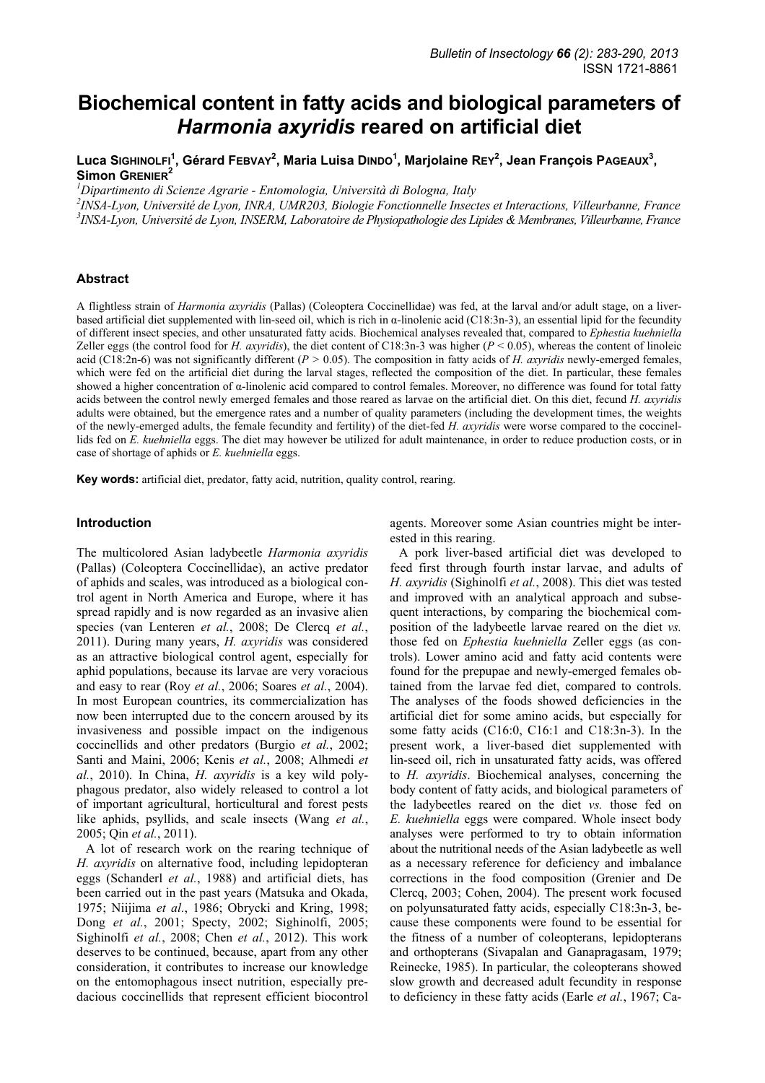# **Biochemical content in fatty acids and biological parameters of**  *Harmonia axyridis* **reared on artificial diet**

**Luca SIGHINOLFI<sup>1</sup> , Gérard FEBVAY<sup>2</sup> , Maria Luisa DINDO1 , Marjolaine REY<sup>2</sup> , Jean François PAGEAUX<sup>3</sup> , Simon GRENIER<sup>2</sup>** 

*1 Dipartimento di Scienze Agrarie - Entomologia, Università di Bologna, Italy* 

*2 INSA-Lyon, Université de Lyon, INRA, UMR203, Biologie Fonctionnelle Insectes et Interactions, Villeurbanne, France 3 INSA-Lyon, Université de Lyon, INSERM, Laboratoire de Physiopathologie des Lipides & Membranes, Villeurbanne, France* 

# **Abstract**

A flightless strain of *Harmonia axyridis* (Pallas) (Coleoptera Coccinellidae) was fed, at the larval and/or adult stage, on a liverbased artificial diet supplemented with lin-seed oil, which is rich in α-linolenic acid (C18:3n-3), an essential lipid for the fecundity of different insect species, and other unsaturated fatty acids. Biochemical analyses revealed that, compared to *Ephestia kuehniella* Zeller eggs (the control food for *H. axyridis*), the diet content of C18:3n-3 was higher ( $P < 0.05$ ), whereas the content of linoleic acid (C18:2n-6) was not significantly different ( $P > 0.05$ ). The composition in fatty acids of *H. axyridis* newly-emerged females, which were fed on the artificial diet during the larval stages, reflected the composition of the diet. In particular, these females showed a higher concentration of α-linolenic acid compared to control females. Moreover, no difference was found for total fatty acids between the control newly emerged females and those reared as larvae on the artificial diet. On this diet, fecund *H. axyridis*  adults were obtained, but the emergence rates and a number of quality parameters (including the development times, the weights of the newly-emerged adults, the female fecundity and fertility) of the diet-fed *H. axyridis* were worse compared to the coccinellids fed on *E. kuehniella* eggs. The diet may however be utilized for adult maintenance, in order to reduce production costs, or in case of shortage of aphids or *E. kuehniella* eggs.

**Key words:** artificial diet, predator, fatty acid, nutrition, quality control, rearing.

#### **Introduction**

The multicolored Asian ladybeetle *Harmonia axyridis* (Pallas) (Coleoptera Coccinellidae), an active predator of aphids and scales, was introduced as a biological control agent in North America and Europe, where it has spread rapidly and is now regarded as an invasive alien species (van Lenteren *et al.*, 2008; De Clercq *et al.*, 2011). During many years, *H. axyridis* was considered as an attractive biological control agent, especially for aphid populations, because its larvae are very voracious and easy to rear (Roy *et al.*, 2006; Soares *et al.*, 2004). In most European countries, its commercialization has now been interrupted due to the concern aroused by its invasiveness and possible impact on the indigenous coccinellids and other predators (Burgio *et al.*, 2002; Santi and Maini, 2006; Kenis *et al.*, 2008; Alhmedi *et al.*, 2010). In China, *H. axyridis* is a key wild polyphagous predator, also widely released to control a lot of important agricultural, horticultural and forest pests like aphids, psyllids, and scale insects (Wang *et al.*, 2005; Qin *et al.*, 2011).

A lot of research work on the rearing technique of *H. axyridis* on alternative food, including lepidopteran eggs (Schanderl *et al.*, 1988) and artificial diets, has been carried out in the past years (Matsuka and Okada, 1975; Niijima *et al.*, 1986; Obrycki and Kring, 1998; Dong *et al.*, 2001; Specty, 2002; Sighinolfi, 2005; Sighinolfi *et al.*, 2008; Chen *et al.*, 2012). This work deserves to be continued, because, apart from any other consideration, it contributes to increase our knowledge on the entomophagous insect nutrition, especially predacious coccinellids that represent efficient biocontrol agents. Moreover some Asian countries might be interested in this rearing.

A pork liver-based artificial diet was developed to feed first through fourth instar larvae, and adults of *H. axyridis* (Sighinolfi *et al.*, 2008). This diet was tested and improved with an analytical approach and subsequent interactions, by comparing the biochemical composition of the ladybeetle larvae reared on the diet *vs.* those fed on *Ephestia kuehniella* Zeller eggs (as controls). Lower amino acid and fatty acid contents were found for the prepupae and newly-emerged females obtained from the larvae fed diet, compared to controls. The analyses of the foods showed deficiencies in the artificial diet for some amino acids, but especially for some fatty acids (C16:0, C16:1 and C18:3n-3). In the present work, a liver-based diet supplemented with lin-seed oil, rich in unsaturated fatty acids, was offered to *H. axyridis*. Biochemical analyses, concerning the body content of fatty acids, and biological parameters of the ladybeetles reared on the diet *vs.* those fed on *E. kuehniella* eggs were compared. Whole insect body analyses were performed to try to obtain information about the nutritional needs of the Asian ladybeetle as well as a necessary reference for deficiency and imbalance corrections in the food composition (Grenier and De Clercq, 2003; Cohen, 2004). The present work focused on polyunsaturated fatty acids, especially C18:3n-3, because these components were found to be essential for the fitness of a number of coleopterans, lepidopterans and orthopterans (Sivapalan and Ganapragasam, 1979; Reinecke, 1985). In particular, the coleopterans showed slow growth and decreased adult fecundity in response to deficiency in these fatty acids (Earle *et al.*, 1967; Ca-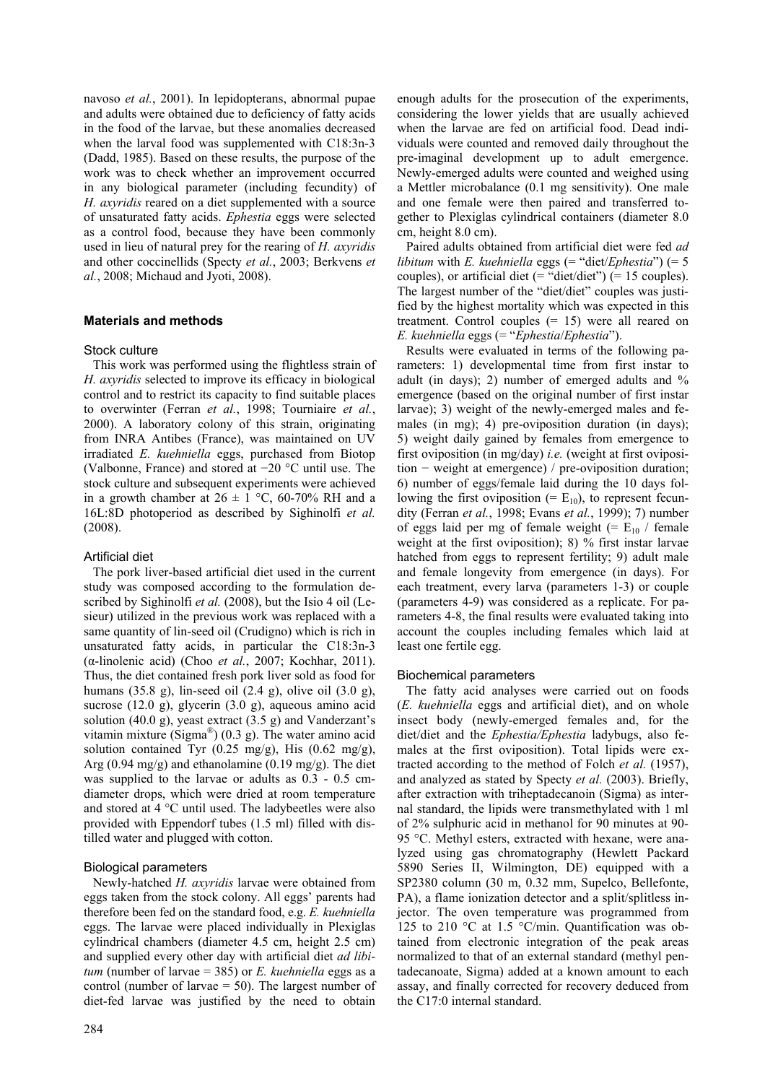navoso *et al.*, 2001). In lepidopterans, abnormal pupae and adults were obtained due to deficiency of fatty acids in the food of the larvae, but these anomalies decreased when the larval food was supplemented with C18:3n-3 (Dadd, 1985). Based on these results, the purpose of the work was to check whether an improvement occurred in any biological parameter (including fecundity) of *H. axyridis* reared on a diet supplemented with a source of unsaturated fatty acids. *Ephestia* eggs were selected as a control food, because they have been commonly used in lieu of natural prey for the rearing of *H. axyridis*  and other coccinellids (Specty *et al.*, 2003; Berkvens *et al.*, 2008; Michaud and Jyoti, 2008).

# **Materials and methods**

#### Stock culture

This work was performed using the flightless strain of *H. axyridis* selected to improve its efficacy in biological control and to restrict its capacity to find suitable places to overwinter (Ferran *et al.*, 1998; Tourniaire *et al.*, 2000). A laboratory colony of this strain, originating from INRA Antibes (France), was maintained on UV irradiated *E. kuehniella* eggs, purchased from Biotop (Valbonne, France) and stored at −20 °C until use. The stock culture and subsequent experiments were achieved in a growth chamber at  $26 \pm 1$  °C, 60-70% RH and a 16L:8D photoperiod as described by Sighinolfi *et al.* (2008).

# Artificial diet

The pork liver-based artificial diet used in the current study was composed according to the formulation described by Sighinolfi *et al.* (2008), but the Isio 4 oil (Lesieur) utilized in the previous work was replaced with a same quantity of lin-seed oil (Crudigno) which is rich in unsaturated fatty acids, in particular the C18:3n-3 (α-linolenic acid) (Choo *et al.*, 2007; Kochhar, 2011). Thus, the diet contained fresh pork liver sold as food for humans (35.8 g), lin-seed oil (2.4 g), olive oil (3.0 g), sucrose (12.0 g), glycerin (3.0 g), aqueous amino acid solution (40.0 g), yeast extract (3.5 g) and Vanderzant's vitamin mixture (Sigma<sup>®</sup>) (0.3 g). The water amino acid solution contained Tyr (0.25 mg/g), His (0.62 mg/g), Arg  $(0.94 \text{ mg/g})$  and ethanolamine  $(0.19 \text{ mg/g})$ . The diet was supplied to the larvae or adults as 0.3 - 0.5 cmdiameter drops, which were dried at room temperature and stored at 4 °C until used. The ladybeetles were also provided with Eppendorf tubes (1.5 ml) filled with distilled water and plugged with cotton.

# Biological parameters

Newly-hatched *H. axyridis* larvae were obtained from eggs taken from the stock colony. All eggs' parents had therefore been fed on the standard food, e.g. *E. kuehniella*  eggs. The larvae were placed individually in Plexiglas cylindrical chambers (diameter 4.5 cm, height 2.5 cm) and supplied every other day with artificial diet *ad libitum* (number of larvae = 385) or *E. kuehniella* eggs as a control (number of larvae  $= 50$ ). The largest number of diet-fed larvae was justified by the need to obtain enough adults for the prosecution of the experiments, considering the lower yields that are usually achieved when the larvae are fed on artificial food. Dead individuals were counted and removed daily throughout the pre-imaginal development up to adult emergence. Newly-emerged adults were counted and weighed using a Mettler microbalance (0.1 mg sensitivity). One male and one female were then paired and transferred together to Plexiglas cylindrical containers (diameter 8.0 cm, height 8.0 cm).

Paired adults obtained from artificial diet were fed *ad libitum* with *E. kuehniella* eggs (= "diet/*Ephestia"*) (= 5 couples), or artificial diet (= "diet/diet") (= 15 couples). The largest number of the "diet/diet" couples was justified by the highest mortality which was expected in this treatment. Control couples  $(= 15)$  were all reared on *E. kuehniella* eggs (= "*Ephestia*/*Ephestia*").

Results were evaluated in terms of the following parameters: 1) developmental time from first instar to adult (in days); 2) number of emerged adults and % emergence (based on the original number of first instar larvae); 3) weight of the newly-emerged males and females (in mg); 4) pre-oviposition duration (in days); 5) weight daily gained by females from emergence to first oviposition (in mg/day) *i.e.* (weight at first oviposition − weight at emergence) / pre-oviposition duration; 6) number of eggs/female laid during the 10 days following the first oviposition (=  $E_{10}$ ), to represent fecundity (Ferran *et al.*, 1998; Evans *et al.*, 1999); 7) number of eggs laid per mg of female weight (=  $E_{10}$  / female weight at the first oviposition); 8) % first instar larvae hatched from eggs to represent fertility; 9) adult male and female longevity from emergence (in days). For each treatment, every larva (parameters 1-3) or couple (parameters 4-9) was considered as a replicate. For parameters 4-8, the final results were evaluated taking into account the couples including females which laid at least one fertile egg.

## Biochemical parameters

The fatty acid analyses were carried out on foods (*E. kuehniella* eggs and artificial diet), and on whole insect body (newly-emerged females and, for the diet/diet and the *Ephestia/Ephestia* ladybugs, also females at the first oviposition). Total lipids were extracted according to the method of Folch *et al.* (1957), and analyzed as stated by Specty *et al.* (2003). Briefly, after extraction with triheptadecanoin (Sigma) as internal standard, the lipids were transmethylated with 1 ml of 2% sulphuric acid in methanol for 90 minutes at 90- 95 °C. Methyl esters, extracted with hexane, were analyzed using gas chromatography (Hewlett Packard 5890 Series II, Wilmington, DE) equipped with a SP2380 column (30 m, 0.32 mm, Supelco, Bellefonte, PA), a flame ionization detector and a split/splitless injector. The oven temperature was programmed from 125 to 210 °C at 1.5 °C/min. Quantification was obtained from electronic integration of the peak areas normalized to that of an external standard (methyl pentadecanoate, Sigma) added at a known amount to each assay, and finally corrected for recovery deduced from the C17:0 internal standard.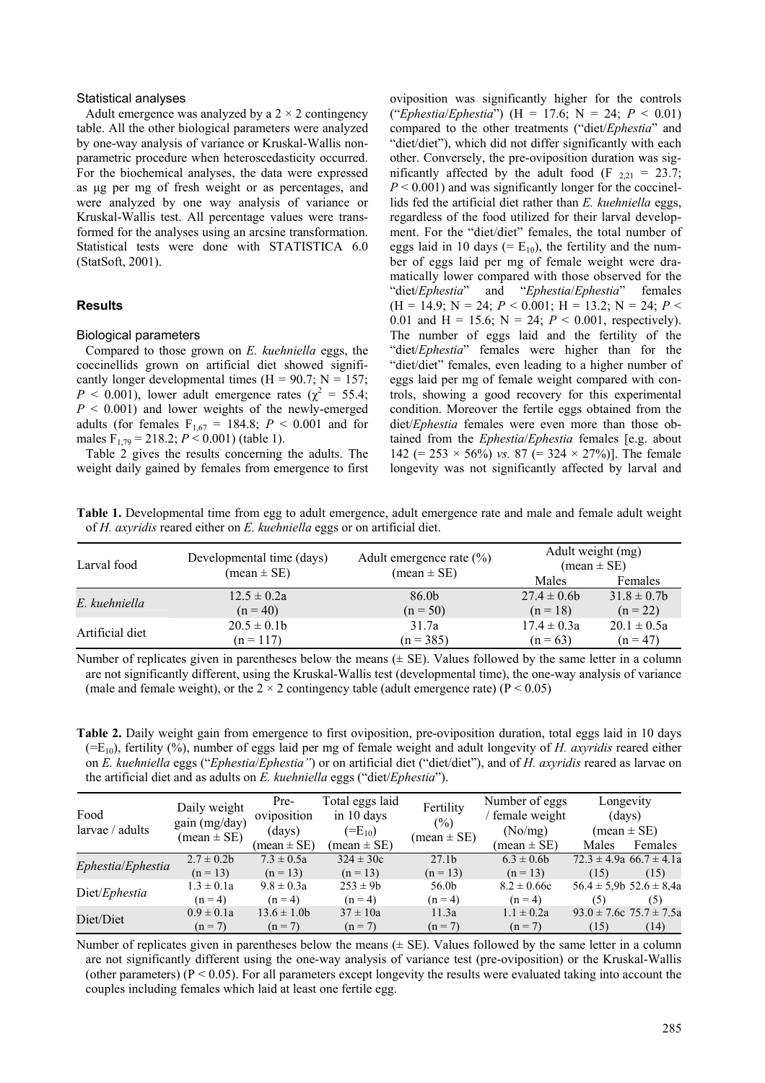#### Statistical analyses

Adult emergence was analyzed by a  $2 \times 2$  contingency table. All the other biological parameters were analyzed by one-way analysis of variance or Kruskal-Wallis nonparametric procedure when heteroscedasticity occurred. For the biochemical analyses, the data were expressed as µg per mg of fresh weight or as percentages, and were analyzed by one way analysis of variance or Kruskal-Wallis test. All percentage values were transformed for the analyses using an arcsine transformation. Statistical tests were done with STATISTICA 6.0 (StatSoft, 2001).

#### **Results**

#### Biological parameters

Compared to those grown on *E. kuehniella* eggs, the coccinellids grown on artificial diet showed significantly longer developmental times ( $H = 90.7$ ;  $N = 157$ ;  $P < 0.001$ ), lower adult emergence rates ( $\chi^2 = 55.4$ ; *P* < 0.001) and lower weights of the newly-emerged adults (for females  $F_{1,67} = 184.8$ ;  $P < 0.001$  and for males  $F_{1,79} = 218.2$ ;  $P < 0.001$ ) (table 1).

Table 2 gives the results concerning the adults. The weight daily gained by females from emergence to first oviposition was significantly higher for the controls ("*Ephestia*/*Ephestia*") (H = 17.6; N = 24; *P* < 0.01) compared to the other treatments ("diet/*Ephestia*" and "diet/diet"), which did not differ significantly with each other. Conversely, the pre-oviposition duration was significantly affected by the adult food (F  $_{2,21}$  = 23.7; *P* < 0.001) and was significantly longer for the coccinellids fed the artificial diet rather than *E. kuehniella* eggs, regardless of the food utilized for their larval development. For the "diet/diet" females, the total number of eggs laid in 10 days (=  $E_{10}$ ), the fertility and the number of eggs laid per mg of female weight were dramatically lower compared with those observed for the "diet/*Ephestia*" and "*Ephestia*/*Ephestia*" females  $(H = 14.9; N = 24; P < 0.001; H = 13.2; N = 24; P <$ 0.01 and H = 15.6;  $N = 24$ ;  $P < 0.001$ , respectively). The number of eggs laid and the fertility of the "diet/*Ephestia*" females were higher than for the "diet/diet" females, even leading to a higher number of eggs laid per mg of female weight compared with controls, showing a good recovery for this experimental condition. Moreover the fertile eggs obtained from the diet/*Ephestia* females were even more than those obtained from the *Ephestia*/*Ephestia* females [e.g. about 142 (=  $253 \times 56\%$ ) *vs.* 87 (=  $324 \times 27\%$ ). The female longevity was not significantly affected by larval and

**Table 1.** Developmental time from egg to adult emergence, adult emergence rate and male and female adult weight of *H. axyridis* reared either on *E. kuehniella* eggs or on artificial diet.

| Larval food     | Developmental time (days)<br>$mean \pm SE$ | Adult emergence rate $(\% )$ | Adult weight (mg)<br>$(\text{mean} \pm \text{SE})$ |                 |  |
|-----------------|--------------------------------------------|------------------------------|----------------------------------------------------|-----------------|--|
|                 |                                            | $mean \pm SE$                | Males                                              | Females         |  |
| E. kuehniella   | $12.5 \pm 0.2a$                            | 86.0 <sub>b</sub>            | $27.4 \pm 0.6b$                                    | $31.8 \pm 0.7$  |  |
|                 | $(n = 40)$                                 | $(n = 50)$                   | $(n = 18)$                                         | $(n = 22)$      |  |
| Artificial diet | $20.5 \pm 0.1$                             | 31.7a                        | $17.4 \pm 0.3a$                                    | $20.1 \pm 0.5a$ |  |
|                 | $(n = 117)$                                | $(n = 385)$                  | $(n = 63)$                                         | $(n = 47)$      |  |

Number of replicates given in parentheses below the means  $(\pm S)$ . Values followed by the same letter in a column are not significantly different, using the Kruskal-Wallis test (developmental time), the one-way analysis of variance (male and female weight), or the  $2 \times 2$  contingency table (adult emergence rate) (P < 0.05)

| Table 2. Daily weight gain from emergence to first oviposition, pre-oviposition duration, total eggs laid in 10 days      |
|---------------------------------------------------------------------------------------------------------------------------|
| $(=E_{10})$ , fertility (%), number of eggs laid per mg of female weight and adult longevity of H. axyridis reared either |
| on E. kuehniella eggs ("Ephestia/Ephestia") or on artificial diet ("diet/diet"), and of H. axyridis reared as larvae on   |
| the artificial diet and as adults on E. kuehniella eggs ("diet/Ephestia").                                                |

| Food<br>larvae / adults | Daily weight<br>gain (mg/day)<br>$(\text{mean} \pm \text{SE})$ | Pre-<br>oviposition<br>(days) | Total eggs laid<br>in 10 days<br>$(=E_{10})$ | Fertility<br>(%)<br>$(\text{mean} \pm \text{SE})$ | Number of eggs<br>/ female weight<br>(No/mg) | Longevity<br>(days)<br>$(\text{mean} \pm \text{SE})$ |         |
|-------------------------|----------------------------------------------------------------|-------------------------------|----------------------------------------------|---------------------------------------------------|----------------------------------------------|------------------------------------------------------|---------|
|                         |                                                                | $(\text{mean} \pm \text{SE})$ | $(\text{mean} \pm \text{SE})$                |                                                   | $(\text{mean} \pm \text{SE})$                | Males                                                | Females |
| Ephestia/Ephestia       | $2.7 \pm 0.2b$                                                 | $7.3 \pm 0.5a$                | $324 \pm 30c$                                | 27.1 <sub>b</sub>                                 | $6.3 \pm 0.6b$                               | $72.3 \pm 4.9a$ 66.7 $\pm 4.1a$                      |         |
|                         | $(n = 13)$                                                     | $(n = 13)$                    | $(n = 13)$                                   | $(n = 13)$                                        | $(n = 13)$                                   | (15)                                                 | (15)    |
| Diet/Ephestia           | $1.3 \pm 0.1a$                                                 | $9.8 \pm 0.3a$                | $253 \pm 9b$                                 | 56.0b                                             | $8.2 \pm 0.66c$                              | $56.4 \pm 5.9b$ $52.6 \pm 8.4a$                      |         |
|                         | $(n = 4)$                                                      | $(n = 4)$                     | $(n = 4)$                                    | $(n = 4)$                                         | $(n = 4)$                                    | (5)                                                  | (5)     |
| Diet/Diet               | $0.9 \pm 0.1a$                                                 | $13.6 \pm 1.0$                | $37 \pm 10a$                                 | 11.3a                                             | $1.1 \pm 0.2a$                               | $93.0 \pm 7.6c$ 75.7 $\pm 7.5a$                      |         |
|                         | $(n = 7)$                                                      | $(n = 7)$                     | $(n = 7)$                                    | $(n = 7)$                                         | $(n = 7)$                                    | (15)                                                 | (14)    |

Number of replicates given in parentheses below the means  $(\pm S E)$ . Values followed by the same letter in a column are not significantly different using the one-way analysis of variance test (pre-oviposition) or the Kruskal-Wallis (other parameters) ( $P < 0.05$ ). For all parameters except longevity the results were evaluated taking into account the couples including females which laid at least one fertile egg.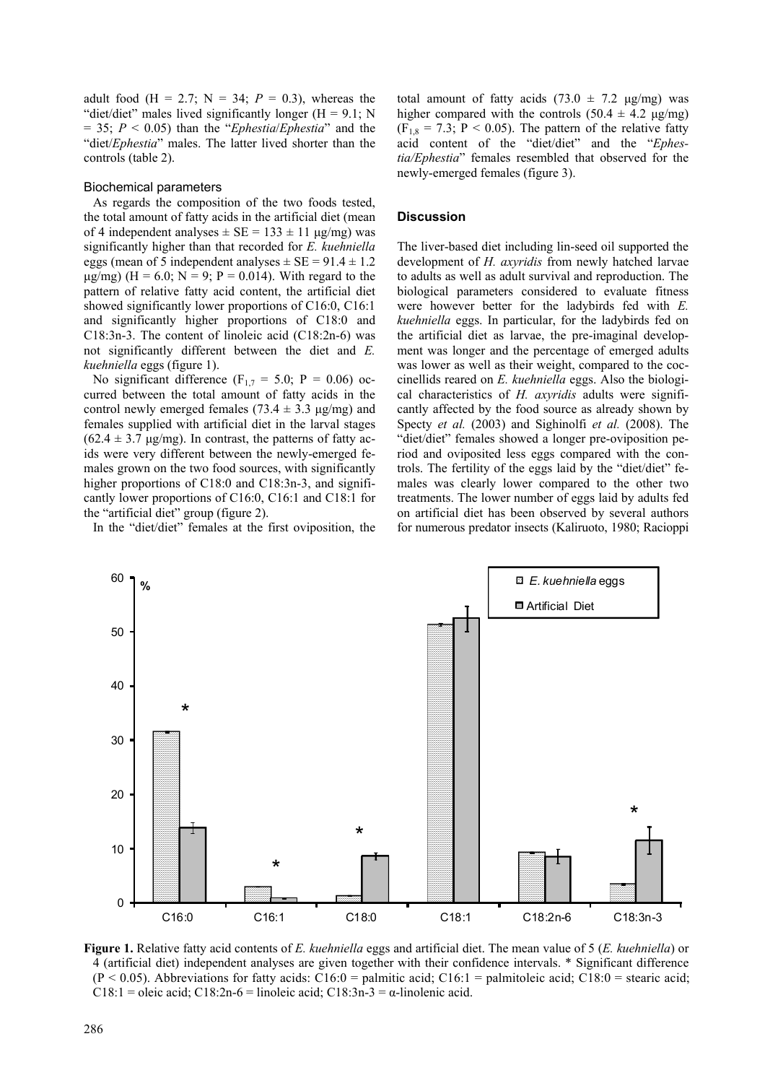adult food (H = 2.7; N = 34;  $P = 0.3$ ), whereas the "diet/diet" males lived significantly longer  $(H = 9.1; N)$ = 35; *P* < 0.05) than the "*Ephestia*/*Ephestia*" and the "diet/*Ephestia*" males. The latter lived shorter than the controls (table 2).

#### Biochemical parameters

As regards the composition of the two foods tested, the total amount of fatty acids in the artificial diet (mean of 4 independent analyses  $\pm$  SE = 133  $\pm$  11 µg/mg) was significantly higher than that recorded for *E. kuehniella* eggs (mean of 5 independent analyses  $\pm$  SE = 91.4  $\pm$  1.2  $\mu$ g/mg) (H = 6.0; N = 9; P = 0.014). With regard to the pattern of relative fatty acid content, the artificial diet showed significantly lower proportions of C16:0, C16:1 and significantly higher proportions of C18:0 and C18:3n-3. The content of linoleic acid (C18:2n-6) was not significantly different between the diet and *E. kuehniella* eggs (figure 1).

No significant difference ( $F_{1,7} = 5.0$ ; P = 0.06) occurred between the total amount of fatty acids in the control newly emerged females (73.4  $\pm$  3.3 µg/mg) and females supplied with artificial diet in the larval stages  $(62.4 \pm 3.7 \text{ µg/mg})$ . In contrast, the patterns of fatty acids were very different between the newly-emerged females grown on the two food sources, with significantly higher proportions of C18:0 and C18:3n-3, and significantly lower proportions of C16:0, C16:1 and C18:1 for the "artificial diet" group (figure 2).

In the "diet/diet" females at the first oviposition, the

total amount of fatty acids  $(73.0 \pm 7.2 \text{ µg/mg})$  was higher compared with the controls  $(50.4 \pm 4.2 \text{ µg/mg})$  $(F_{1,8} = 7.3; P \le 0.05)$ . The pattern of the relative fatty acid content of the "diet/diet" and the "*Ephestia/Ephestia*" females resembled that observed for the newly-emerged females (figure 3).

# **Discussion**

The liver-based diet including lin-seed oil supported the development of *H. axyridis* from newly hatched larvae to adults as well as adult survival and reproduction. The biological parameters considered to evaluate fitness were however better for the ladybirds fed with *E. kuehniella* eggs. In particular, for the ladybirds fed on the artificial diet as larvae, the pre-imaginal development was longer and the percentage of emerged adults was lower as well as their weight, compared to the coccinellids reared on *E. kuehniella* eggs. Also the biological characteristics of *H. axyridis* adults were significantly affected by the food source as already shown by Specty *et al.* (2003) and Sighinolfi *et al.* (2008). The "diet/diet" females showed a longer pre-oviposition period and oviposited less eggs compared with the controls. The fertility of the eggs laid by the "diet/diet" females was clearly lower compared to the other two treatments. The lower number of eggs laid by adults fed on artificial diet has been observed by several authors for numerous predator insects (Kaliruoto, 1980; Racioppi



**Figure 1.** Relative fatty acid contents of *E. kuehniella* eggs and artificial diet. The mean value of 5 (*E. kuehniella*) or 4 (artificial diet) independent analyses are given together with their confidence intervals. \* Significant difference  $(P < 0.05)$ . Abbreviations for fatty acids: C16:0 = palmitic acid; C16:1 = palmitoleic acid; C18:0 = stearic acid; C18:1 = oleic acid; C18:2n-6 = linoleic acid; C18:3n-3 =  $\alpha$ -linolenic acid.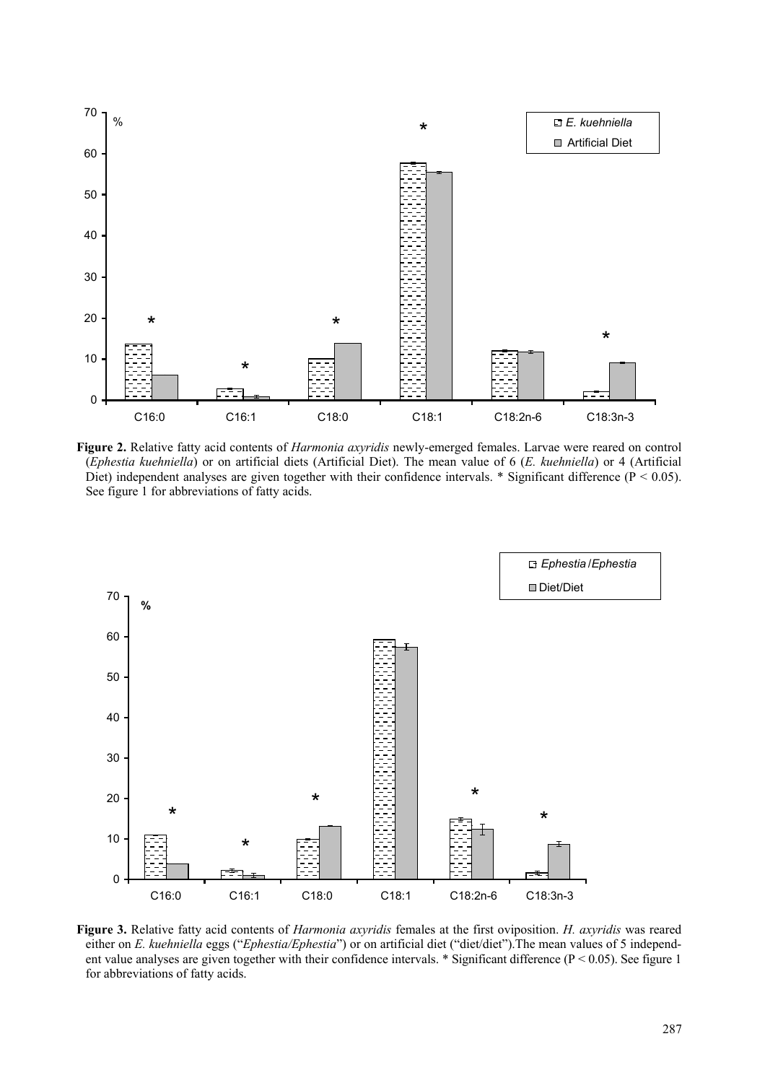

**Figure 2.** Relative fatty acid contents of *Harmonia axyridis* newly-emerged females. Larvae were reared on control (*Ephestia kuehniella*) or on artificial diets (Artificial Diet). The mean value of 6 (*E. kuehniella*) or 4 (Artificial Diet) independent analyses are given together with their confidence intervals.  $*$  Significant difference ( $P < 0.05$ ). See figure 1 for abbreviations of fatty acids.



**Figure 3.** Relative fatty acid contents of *Harmonia axyridis* females at the first oviposition. *H. axyridis* was reared either on *E. kuehniella* eggs ("*Ephestia/Ephestia*") or on artificial diet ("diet/diet").The mean values of 5 independent value analyses are given together with their confidence intervals. \* Significant difference ( $P < 0.05$ ). See figure 1 for abbreviations of fatty acids.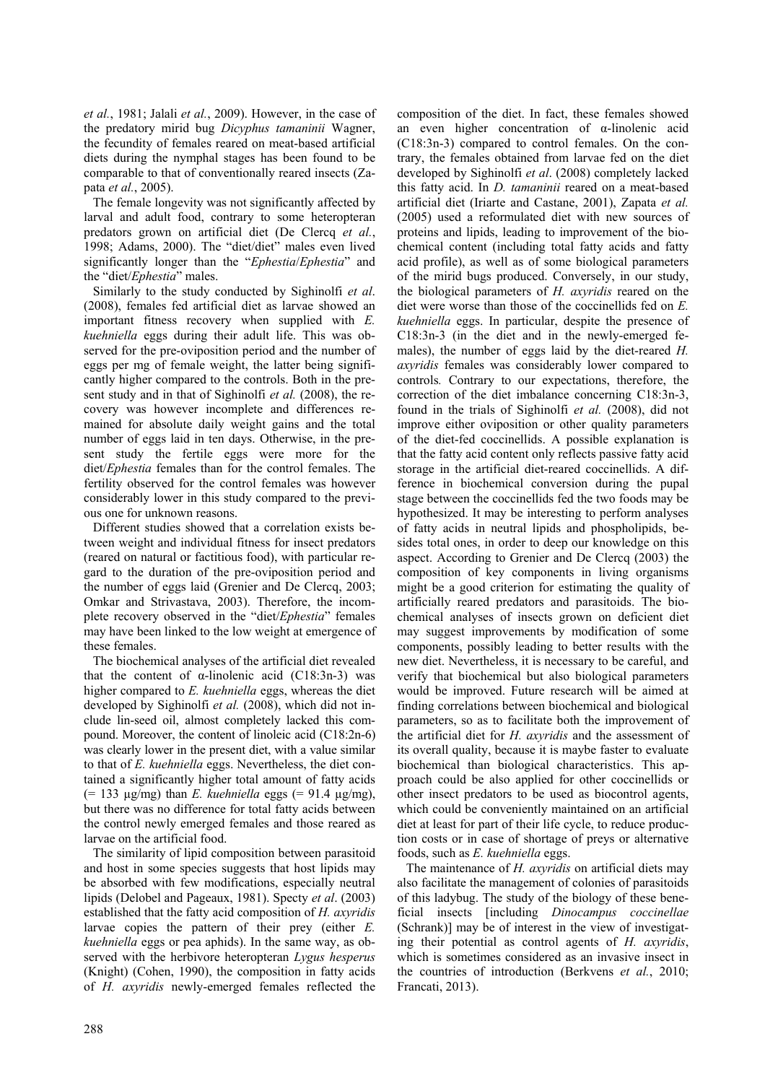*et al.*, 1981; Jalali *et al.*, 2009). However, in the case of the predatory mirid bug *Dicyphus tamaninii* Wagner, the fecundity of females reared on meat-based artificial diets during the nymphal stages has been found to be comparable to that of conventionally reared insects (Zapata *et al.*, 2005).

The female longevity was not significantly affected by larval and adult food, contrary to some heteropteran predators grown on artificial diet (De Clercq *et al.*, 1998; Adams, 2000). The "diet/diet" males even lived significantly longer than the "*Ephestia*/*Ephestia*" and the "diet/*Ephestia*" males.

Similarly to the study conducted by Sighinolfi *et al*. (2008), females fed artificial diet as larvae showed an important fitness recovery when supplied with *E. kuehniella* eggs during their adult life. This was observed for the pre-oviposition period and the number of eggs per mg of female weight, the latter being significantly higher compared to the controls. Both in the present study and in that of Sighinolfi *et al.* (2008), the recovery was however incomplete and differences remained for absolute daily weight gains and the total number of eggs laid in ten days. Otherwise, in the present study the fertile eggs were more for the diet/*Ephestia* females than for the control females. The fertility observed for the control females was however considerably lower in this study compared to the previous one for unknown reasons.

Different studies showed that a correlation exists between weight and individual fitness for insect predators (reared on natural or factitious food), with particular regard to the duration of the pre-oviposition period and the number of eggs laid (Grenier and De Clercq, 2003; Omkar and Strivastava, 2003). Therefore, the incomplete recovery observed in the "diet/*Ephestia*" females may have been linked to the low weight at emergence of these females.

The biochemical analyses of the artificial diet revealed that the content of α-linolenic acid  $(C18:3n-3)$  was higher compared to *E. kuehniella* eggs, whereas the diet developed by Sighinolfi *et al.* (2008), which did not include lin-seed oil, almost completely lacked this compound. Moreover, the content of linoleic acid (C18:2n-6) was clearly lower in the present diet, with a value similar to that of *E. kuehniella* eggs. Nevertheless, the diet contained a significantly higher total amount of fatty acids  $(= 133 \text{ µg/mg})$  than *E. kuehniella* eggs  $(= 91.4 \text{ µg/mg})$ , but there was no difference for total fatty acids between the control newly emerged females and those reared as larvae on the artificial food.

The similarity of lipid composition between parasitoid and host in some species suggests that host lipids may be absorbed with few modifications, especially neutral lipids (Delobel and Pageaux, 1981). Specty *et al*. (2003) established that the fatty acid composition of *H. axyridis* larvae copies the pattern of their prey (either *E. kuehniella* eggs or pea aphids). In the same way, as observed with the herbivore heteropteran *Lygus hesperus* (Knight) (Cohen, 1990), the composition in fatty acids of *H. axyridis* newly-emerged females reflected the composition of the diet. In fact, these females showed an even higher concentration of α-linolenic acid (C18:3n-3) compared to control females. On the contrary, the females obtained from larvae fed on the diet developed by Sighinolfi *et al*. (2008) completely lacked this fatty acid. In *D. tamaninii* reared on a meat-based artificial diet (Iriarte and Castane, 2001), Zapata *et al.* (2005) used a reformulated diet with new sources of proteins and lipids, leading to improvement of the biochemical content (including total fatty acids and fatty acid profile), as well as of some biological parameters of the mirid bugs produced. Conversely, in our study, the biological parameters of *H. axyridis* reared on the diet were worse than those of the coccinellids fed on *E. kuehniella* eggs. In particular, despite the presence of C18:3n-3 (in the diet and in the newly-emerged females), the number of eggs laid by the diet-reared *H. axyridis* females was considerably lower compared to controls*.* Contrary to our expectations, therefore, the correction of the diet imbalance concerning C18:3n-3, found in the trials of Sighinolfi *et al.* (2008), did not improve either oviposition or other quality parameters of the diet-fed coccinellids. A possible explanation is that the fatty acid content only reflects passive fatty acid storage in the artificial diet-reared coccinellids. A difference in biochemical conversion during the pupal stage between the coccinellids fed the two foods may be hypothesized. It may be interesting to perform analyses of fatty acids in neutral lipids and phospholipids, besides total ones, in order to deep our knowledge on this aspect. According to Grenier and De Clercq (2003) the composition of key components in living organisms might be a good criterion for estimating the quality of artificially reared predators and parasitoids. The biochemical analyses of insects grown on deficient diet may suggest improvements by modification of some components, possibly leading to better results with the new diet. Nevertheless, it is necessary to be careful, and verify that biochemical but also biological parameters would be improved. Future research will be aimed at finding correlations between biochemical and biological parameters, so as to facilitate both the improvement of the artificial diet for *H. axyridis* and the assessment of its overall quality, because it is maybe faster to evaluate biochemical than biological characteristics. This approach could be also applied for other coccinellids or other insect predators to be used as biocontrol agents, which could be conveniently maintained on an artificial diet at least for part of their life cycle, to reduce production costs or in case of shortage of preys or alternative foods, such as *E. kuehniella* eggs.

The maintenance of *H. axyridis* on artificial diets may also facilitate the management of colonies of parasitoids of this ladybug. The study of the biology of these beneficial insects [including *Dinocampus coccinellae*  (Schrank)] may be of interest in the view of investigating their potential as control agents of *H. axyridis*, which is sometimes considered as an invasive insect in the countries of introduction (Berkvens *et al.*, 2010; Francati, 2013).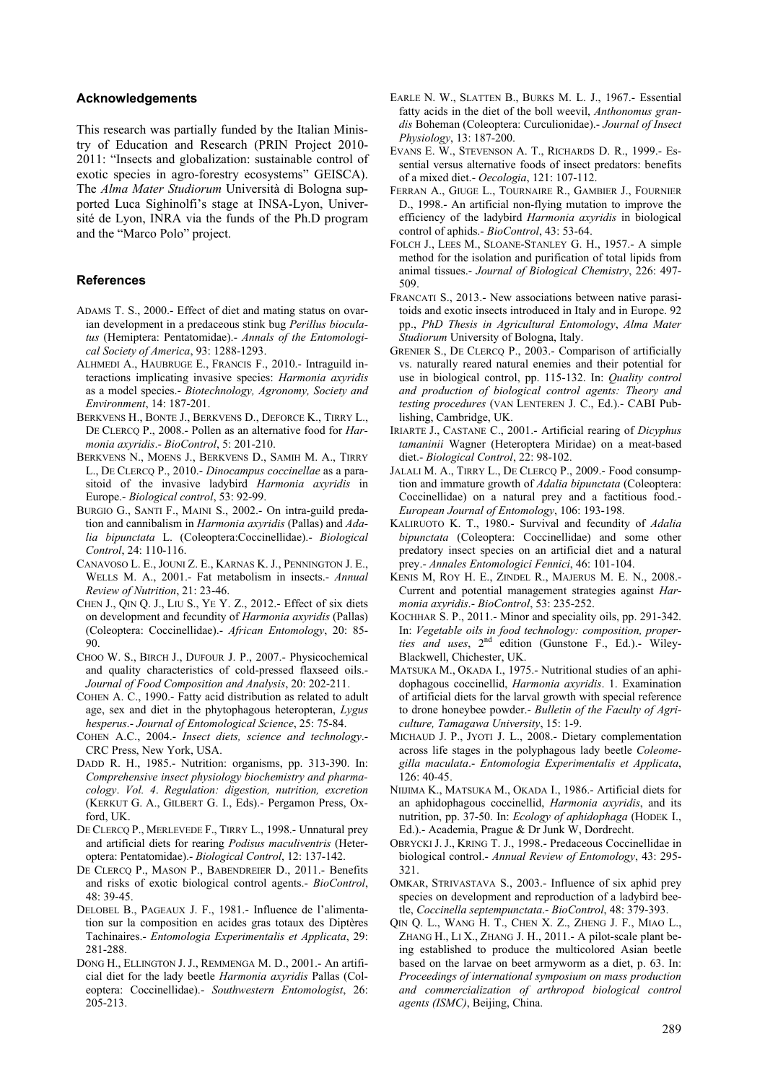#### **Acknowledgements**

This research was partially funded by the Italian Ministry of Education and Research (PRIN Project 2010- 2011: "Insects and globalization: sustainable control of exotic species in agro-forestry ecosystems" GEISCA). The *Alma Mater Studiorum* Università di Bologna supported Luca Sighinolfi's stage at INSA-Lyon, Université de Lyon, INRA via the funds of the Ph.D program and the "Marco Polo" project.

## **References**

- ADAMS T. S., 2000.- Effect of diet and mating status on ovarian development in a predaceous stink bug *Perillus bioculatus* (Hemiptera: Pentatomidae).- *Annals of the Entomological Society of America*, 93: 1288-1293.
- ALHMEDI A., HAUBRUGE E., FRANCIS F., 2010.- Intraguild interactions implicating invasive species: *Harmonia axyridis*  as a model species.- *Biotechnology, Agronomy, Society and Environment*, 14: 187-201.
- BERKVENS H., BONTE J., BERKVENS D., DEFORCE K., TIRRY L., DE CLERCQ P., 2008.- Pollen as an alternative food for *Harmonia axyridis*.- *BioControl*, 5: 201-210.
- BERKVENS N., MOENS J., BERKVENS D., SAMIH M. A., TIRRY L., DE CLERCQ P., 2010.- *Dinocampus coccinellae* as a parasitoid of the invasive ladybird *Harmonia axyridis* in Europe.- *Biological control*, 53: 92-99.
- BURGIO G., SANTI F., MAINI S., 2002.- On intra-guild predation and cannibalism in *Harmonia axyridis* (Pallas) and *Adalia bipunctata* L. (Coleoptera:Coccinellidae).- *Biological Control*, 24: 110-116.
- CANAVOSO L. E., JOUNI Z. E., KARNAS K. J., PENNINGTON J. E., WELLS M. A., 2001.- Fat metabolism in insects.- *Annual Review of Nutrition*, 21: 23-46.
- CHEN J., QIN Q. J., LIU S., YE Y. Z., 2012.- Effect of six diets on development and fecundity of *Harmonia axyridis* (Pallas) (Coleoptera: Coccinellidae).- *African Entomology*, 20: 85- 90.
- CHOO W. S., BIRCH J., DUFOUR J. P., 2007.- Physicochemical and quality characteristics of cold-pressed flaxseed oils.- *Journal of Food Composition and Analysis*, 20: 202-211.
- COHEN A. C., 1990.- Fatty acid distribution as related to adult age, sex and diet in the phytophagous heteropteran, *Lygus hesperus*.- *Journal of Entomological Science*, 25: 75-84.
- COHEN A.C., 2004.- *Insect diets, science and technology*.- CRC Press, New York, USA.
- DADD R. H., 1985.- Nutrition: organisms, pp. 313-390. In: *Comprehensive insect physiology biochemistry and pharmacology*. *Vol. 4*. *Regulation: digestion, nutrition, excretion* (KERKUT G. A., GILBERT G. I., Eds).- Pergamon Press, Oxford, UK.
- DE CLERCQ P., MERLEVEDE F., TIRRY L., 1998.- Unnatural prey and artificial diets for rearing *Podisus maculiventris* (Heteroptera: Pentatomidae).- *Biological Control*, 12: 137-142.
- DE CLERCQ P., MASON P., BABENDREIER D., 2011.- Benefits and risks of exotic biological control agents.- *BioControl*,  $48.39 - 45$
- DELOBEL B., PAGEAUX J. F., 1981.- Influence de l'alimentation sur la composition en acides gras totaux des Diptères Tachinaires.- *Entomologia Experimentalis et Applicata*, 29: 281-288.
- DONG H., ELLINGTON J. J., REMMENGA M. D., 2001.- An artificial diet for the lady beetle *Harmonia axyridis* Pallas (Coleoptera: Coccinellidae).- *Southwestern Entomologist*, 26: 205-213.
- EARLE N. W., SLATTEN B., BURKS M. L. J., 1967.- Essential fatty acids in the diet of the boll weevil, *Anthonomus grandis* Boheman (Coleoptera: Curculionidae).- *Journal of Insect Physiology*, 13: 187-200.
- EVANS E. W., STEVENSON A. T., RICHARDS D. R., 1999.- Essential versus alternative foods of insect predators: benefits of a mixed diet.- *Oecologia*, 121: 107-112.
- FERRAN A., GIUGE L., TOURNAIRE R., GAMBIER J., FOURNIER D., 1998.- An artificial non-flying mutation to improve the efficiency of the ladybird *Harmonia axyridis* in biological control of aphids.- *BioControl*, 43: 53-64.
- FOLCH J., LEES M., SLOANE-STANLEY G. H., 1957.- A simple method for the isolation and purification of total lipids from animal tissues.- *Journal of Biological Chemistry*, 226: 497- 509.
- FRANCATI S., 2013.- New associations between native parasitoids and exotic insects introduced in Italy and in Europe. 92 pp., *PhD Thesis in Agricultural Entomology*, *Alma Mater Studiorum* University of Bologna, Italy.
- GRENIER S., DE CLERCQ P., 2003.- Comparison of artificially vs. naturally reared natural enemies and their potential for use in biological control, pp. 115-132. In: *Quality control and production of biological control agents: Theory and testing procedures* (VAN LENTEREN J. C., Ed.).- CABI Publishing, Cambridge, UK.
- IRIARTE J., CASTANE C., 2001.- Artificial rearing of *Dicyphus tamaninii* Wagner (Heteroptera Miridae) on a meat-based diet.- *Biological Control*, 22: 98-102.
- JALALI M. A., TIRRY L., DE CLERCQ P., 2009.- Food consumption and immature growth of *Adalia bipunctata* (Coleoptera: Coccinellidae) on a natural prey and a factitious food.- *European Journal of Entomology*, 106: 193-198.
- KALIRUOTO K. T., 1980.- Survival and fecundity of *Adalia bipunctata* (Coleoptera: Coccinellidae) and some other predatory insect species on an artificial diet and a natural prey.- *Annales Entomologici Fennici*, 46: 101-104.
- KENIS M, ROY H. E., ZINDEL R., MAJERUS M. E. N., 2008.- Current and potential management strategies against *Harmonia axyridis*.- *BioControl*, 53: 235-252.
- KOCHHAR S. P., 2011.- Minor and speciality oils, pp. 291-342. In: *Vegetable oils in food technology: composition, properties and uses*, 2nd edition (Gunstone F., Ed.).- Wiley-Blackwell, Chichester, UK.
- MATSUKA M., OKADA I., 1975.- Nutritional studies of an aphidophagous coccinellid, *Harmonia axyridis*. 1. Examination of artificial diets for the larval growth with special reference to drone honeybee powder.- *Bulletin of the Faculty of Agriculture, Tamagawa University*, 15: 1-9.
- MICHAUD J. P., JYOTI J. L., 2008.- Dietary complementation across life stages in the polyphagous lady beetle *Coleomegilla maculata*.- *Entomologia Experimentalis et Applicata*, 126: 40-45.
- NIIJIMA K., MATSUKA M., OKADA I., 1986.- Artificial diets for an aphidophagous coccinellid, *Harmonia axyridis*, and its nutrition, pp. 37-50. In: *Ecology of aphidophaga* (HODEK I., Ed.).- Academia, Prague & Dr Junk W, Dordrecht.
- OBRYCKI J. J., KRING T. J., 1998.- Predaceous Coccinellidae in biological control.- *Annual Review of Entomology*, 43: 295- 321.
- OMKAR, STRIVASTAVA S., 2003.- Influence of six aphid prey species on development and reproduction of a ladybird beetle, *Coccinella septempunctata*.- *BioControl*, 48: 379-393.
- QIN Q. L., WANG H. T., CHEN X. Z., ZHENG J. F., MIAO L., ZHANG H., LI X., ZHANG J. H., 2011.- A pilot-scale plant being established to produce the multicolored Asian beetle based on the larvae on beet armyworm as a diet, p. 63. In: *Proceedings of international symposium on mass production and commercialization of arthropod biological control agents (ISMC)*, Beijing, China.